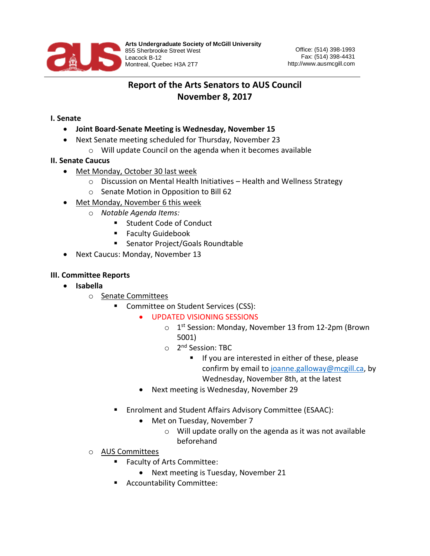

## **Report of the Arts Senators to AUS Council November 8, 2017**

## **I. Senate**

- **Joint Board-Senate Meeting is Wednesday, November 15**
- Next Senate meeting scheduled for Thursday, November 23
	- o Will update Council on the agenda when it becomes available

## **II. Senate Caucus**

- Met Monday, October 30 last week
	- o Discussion on Mental Health Initiatives Health and Wellness Strategy
	- o Senate Motion in Opposition to Bill 62
- Met Monday, November 6 this week
	- o *Notable Agenda Items:*
		- Student Code of Conduct
		- Faculty Guidebook
		- Senator Project/Goals Roundtable
- Next Caucus: Monday, November 13

## **III. Committee Reports**

- **Isabella** 
	- o Senate Committees
		- Committee on Student Services (CSS):
			- UPDATED VISIONING SESSIONS
				- o 1<sup>st</sup> Session: Monday, November 13 from 12-2pm (Brown 5001)
				- o 2<sup>nd</sup> Session: TBC
					- **■** If you are interested in either of these, please confirm by email to [joanne.galloway@mcgill.ca,](mailto:joanne.galloway@mcgill.ca) by Wednesday, November 8th, at the latest
				- Next meeting is Wednesday, November 29
		- Enrolment and Student Affairs Advisory Committee (ESAAC):
			- Met on Tuesday, November 7
				- o Will update orally on the agenda as it was not available beforehand
	- o AUS Committees
		- Faculty of Arts Committee:
			- Next meeting is Tuesday, November 21
		- Accountability Committee: